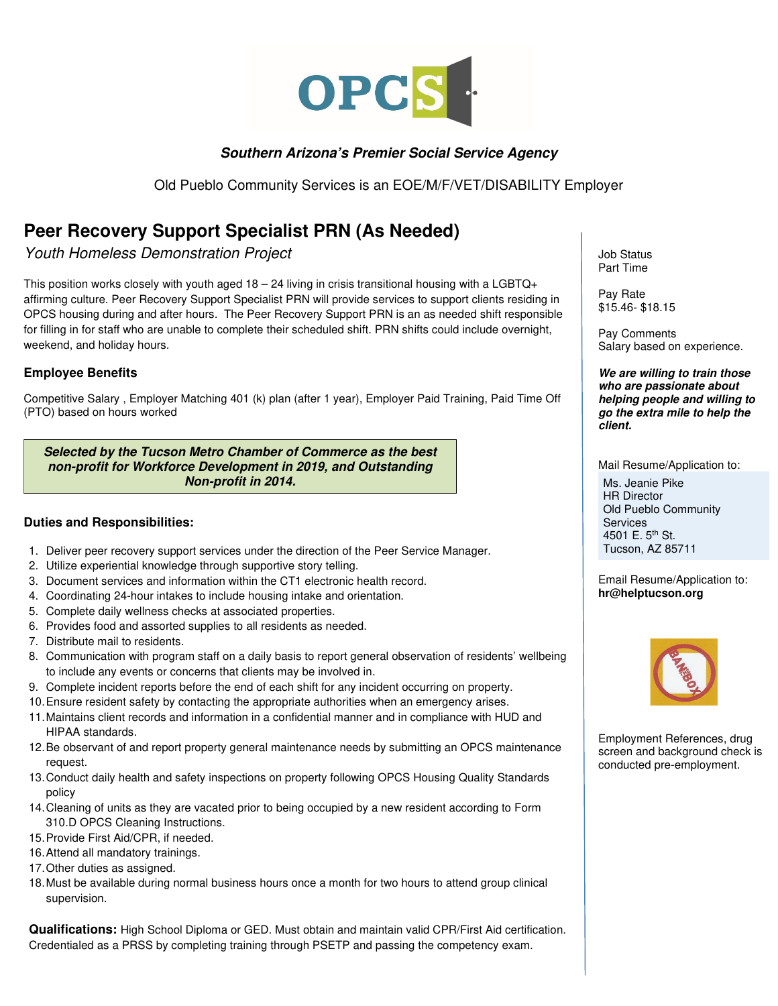

## **Southern Arizona's Premier Social Service Agency**

Old Pueblo Community Services is an EOE/M/F/VET/DISABILITY Employer

## **Peer Recovery Support Specialist PRN (As Needed)**

Youth Homeless Demonstration Project

This position works closely with youth aged  $18 - 24$  living in crisis transitional housing with a LGBTQ+ affirming culture. Peer Recovery Support Specialist PRN will provide services to support clients residing in OPCS housing during and after hours. The Peer Recovery Support PRN is an as needed shift responsible for filling in for staff who are unable to complete their scheduled shift. PRN shifts could include overnight, weekend, and holiday hours.

## **Employee Benefits**

Competitive Salary , Employer Matching 401 (k) plan (after 1 year), Employer Paid Training, Paid Time Off (PTO) based on hours worked

**Selected by the Tucson Metro Chamber of Commerce as the best non-profit for Workforce Development in 2019, and Outstanding Non-profit in 2014.** 

## **Duties and Responsibilities:**

- 1. Deliver peer recovery support services under the direction of the Peer Service Manager.
- 2. Utilize experiential knowledge through supportive story telling.
- 3. Document services and information within the CT1 electronic health record.
- 4. Coordinating 24-hour intakes to include housing intake and orientation.
- 5. Complete daily wellness checks at associated properties.
- 6. Provides food and assorted supplies to all residents as needed.
- 7. Distribute mail to residents.
- 8. Communication with program staff on a daily basis to report general observation of residents' wellbeing to include any events or concerns that clients may be involved in.
- 9. Complete incident reports before the end of each shift for any incident occurring on property.
- 10. Ensure resident safety by contacting the appropriate authorities when an emergency arises.
- 11. Maintains client records and information in a confidential manner and in compliance with HUD and HIPAA standards.
- 12. Be observant of and report property general maintenance needs by submitting an OPCS maintenance request.
- 13. Conduct daily health and safety inspections on property following OPCS Housing Quality Standards policy
- 14. Cleaning of units as they are vacated prior to being occupied by a new resident according to Form 310.D OPCS Cleaning Instructions.
- 15. Provide First Aid/CPR, if needed.
- 16. Attend all mandatory trainings.
- 17. Other duties as assigned.
- 18. Must be available during normal business hours once a month for two hours to attend group clinical supervision.

**Qualifications:** High School Diploma or GED. Must obtain and maintain valid CPR/First Aid certification. Credentialed as a PRSS by completing training through PSETP and passing the competency exam.

Job Status Part Time

Pay Rate \$15.46- \$18.15

Pay Comments Salary based on experience.

**We are willing to train those who are passionate about helping people and willing to go the extra mile to help the client.** 

Mail Resume/Application to:

Ms. Jeanie Pike HR Director Old Pueblo Community **Services** 4501 E. 5<sup>th</sup> St. Tucson, AZ 85711

Email Resume/Application to: **hr@helptucson.org** 



Employment References, drug screen and background check is conducted pre-employment.